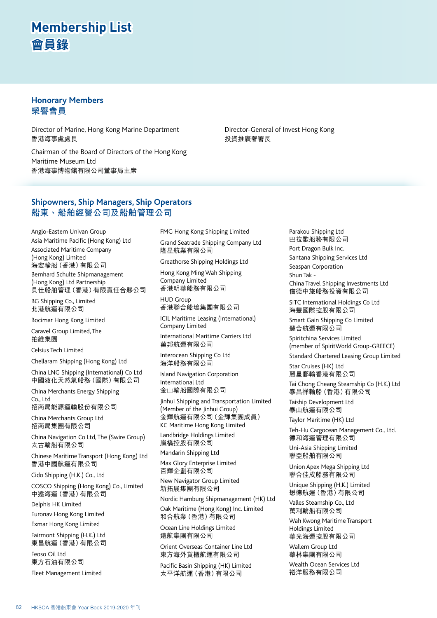### **Honorary Members 榮譽會員**

Director of Marine, Hong Kong Marine Department 香港海事處處長

Chairman of the Board of Directors of the Hong Kong Maritime Museum Ltd 香港海事博物館有限公司董事局主席

Director-General of Invest Hong Kong 投資推廣署署長

### **Shipowners, Ship Managers, Ship Operators 船東、船舶經營公司及船舶管理公司**

Anglo-Eastern Univan Group Asia Maritime Pacific (Hong Kong) Ltd Associated Maritime Company (Hong Kong) Limited 海宏輪船(香港)有限公司 Bernhard Schulte Shipmanagement (Hong Kong) Ltd Partnership 貝仕船舶管理(香港)有限責任合夥公司

BG Shipping Co., Limited 北港航運有限公司

Bocimar Hong Kong Limited

Caravel Group Limited, The 拍維集團

Celsius Tech Limited

Chellaram Shipping (Hong Kong) Ltd

China LNG Shipping (International) Co Ltd 中國液化天然氣船務(國際)有限公司

China Merchants Energy Shipping Co., Ltd

招商局能源運輸股份有限公司

China Merchants Group Ltd 招商局集團有限公司

China Navigation Co Ltd, The (Swire Group) 太古輪船有限公司

Chinese Maritime Transport (Hong Kong) Ltd 香港中國航運有限公司

Cido Shipping (H.K.) Co., Ltd

COSCO Shipping (Hong Kong) Co., Limited 中遠海運(香港)有限公司

Delphis HK Limited

Euronav Hong Kong Limited

Exmar Hong Kong Limited Fairmont Shipping (H.K.) Ltd

東昌航運(香港)有限公司

Feoso Oil Ltd 東方石油有限公司 Fleet Management Limited FMG Hong Kong Shipping Limited Grand Seatrade Shipping Company Ltd 隆星航業有限公司

Greathorse Shipping Holdings Ltd

Hong Kong Ming Wah Shipping Company Limited 香港明華船務有限公司

HUD Group 香港聯合船塢集團有限公司

ICIL Maritime Leasing (International) Company Limited

International Maritime Carriers Ltd 萬邦航運有限公司

Interocean Shipping Co Ltd 海洋船務有限公司

Island Navigation Corporation International Ltd 金山輪船國際有限公司

Jinhui Shipping and Transportation Limited (Member of the Jinhui Group) 金輝航運有限公司 (金輝集團成員) KC Maritime Hong Kong Limited

Landbridge Holdings Limited 嵐橋控股有限公司

Mandarin Shipping Ltd

Max Glory Enterprise Limited 百輝企劃有限公司

New Navigator Group Limited 新拓展集團有限公司

Nordic Hamburg Shipmanagement (HK) Ltd Oak Maritime (Hong Kong) Inc. Limited

和合航業(香港)有限公司

Ocean Line Holdings Limited 遠航集團有限公司

Orient Overseas Container Line Ltd 東方海外貨櫃航運有限公司

Pacific Basin Shipping (HK) Limited 太平洋航運(香港)有限公司

Parakou Shipping Ltd 巴拉歌船務有限公司 Port Dragon Bulk Inc. Santana Shipping Services Ltd Seaspan Corporation Shun Tak - China Travel Shipping Investments Ltd 信德中旅船務投資有限公司

SITC International Holdings Co Ltd 海豐國際控股有限公司

Smart Gain Shipping Co Limited 慧合航運有限公司

Spiritchina Services Limited (member of SpiritWorld Group-GREECE) Standard Chartered Leasing Group Limited

Star Cruises (HK) Ltd

麗星郵輪香港有限公司

Tai Chong Cheang Steamship Co (H.K.) Ltd 泰昌祥輪船(香港)有限公司

Taiship Development Ltd 泰山航運有限公司

Taylor Maritime (HK) Ltd Teh-Hu Cargocean Management Co., Ltd. 德和海運管理有限公司 Uni-Asia Shipping Limited 聯亞船舶有限公司

Union Apex Mega Shipping Ltd 聯合佳成船務有限公司 Unique Shipping (H.K.) Limited 懋德航運(香港)有限公司

Valles Steamship Co., Ltd 萬利輪船有限公司 Wah Kwong Maritime Transport Holdings Limited 華光海運控股有限公司

Wallem Group Ltd 華林集團有限公司

Wealth Ocean Services Ltd 裕洋服務有限公司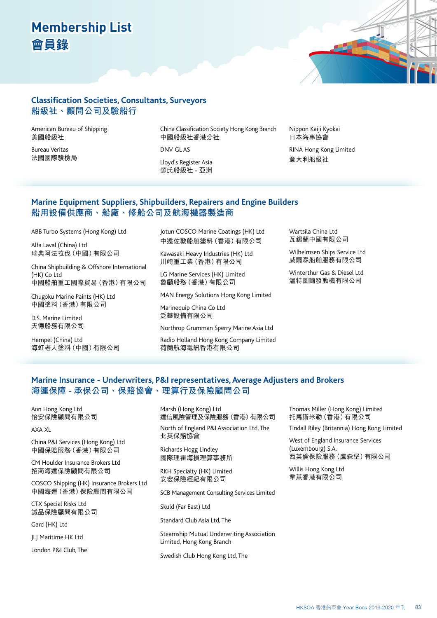

### **Classification Societies, Consultants, Surveyors 船級社、顧問公司及驗船行**

American Bureau of Shipping 美國船級社

Bureau Veritas 法國國際驗檢局 China Classification Society Hong Kong Branch 中國船級社香港分社

DNV GL AS

Lloyd's Register Asia 勞氏船級社 - 亞洲 Nippon Kaiji Kyokai 日本海事協會

RINA Hong Kong Limited 意大利船級社

### **Marine Equipment Suppliers, Shipbuilders, Repairers and Engine Builders 船用設備供應商、船廠、修船公司及航海機器製造商**

ABB Turbo Systems (Hong Kong) Ltd

Alfa Laval (China) Ltd 瑞典阿法拉伐(中國)有限公司

China Shipbuilding & Offshore International (HK) Co Ltd 中國船舶重工國際貿易(香港)有限公司

Chugoku Marine Paints (HK) Ltd 中國塗料(香港)有限公司

D.S. Marine Limited 天德船務有限公司

Hempel (China) Ltd 海虹老人塗料(中國)有限公司 Jotun COSCO Marine Coatings (HK) Ltd 中遠佐敦船舶塗料(香港)有限公司

Kawasaki Heavy Industries (HK) Ltd 川崎重工業(香港)有限公司

LG Marine Services (HK) Limited 魯顧船務(香港)有限公司

MAN Energy Solutions Hong Kong Limited

Marinequip China Co Ltd 泛華設備有限公司

Northrop Grumman Sperry Marine Asia Ltd

Radio Holland Hong Kong Company Limited 荷蘭航海電訊香港有限公司

Wartsila China Ltd 瓦錫蘭中國有限公司

Wilhelmsen Ships Service Ltd 威爾森船舶服務有限公司

Winterthur Gas & Diesel Ltd 溫特圖爾發動機有限公司

### **Marine Insurance - Underwriters, P&I representatives, Average Adjusters and Brokers 海運保障 - 承保公司、保賠協會、理算行及保險顧問公司**

Aon Hong Kong Ltd 怡安保險顧問有限公司

AXA XL

China P&I Services (Hong Kong) Ltd 中國保賠服務(香港)有限公司

CM Houlder Insurance Brokers Ltd 招商海達保險顧問有限公司

COSCO Shipping (HK) Insurance Brokers Ltd 中國海運(香港)保險顧問有限公司

CTX Special Risks Ltd 誠品保險顧問有限公司

Gard (HK) Ltd

JLJ Maritime HK Ltd

London P&I Club, The

Marsh (Hong Kong) Ltd 達信風險管理及保險服務(香港)有限公司

North of England P&I Association Ltd, The 北英保賠協會

Richards Hogg Lindley 國際理霍海損理算事務所

RKH Specialty (HK) Limited 安宏保險經紀有限公司

SCB Management Consulting Services Limited

Skuld (Far East) Ltd

Standard Club Asia Ltd, The

Steamship Mutual Underwriting Association Limited, Hong Kong Branch

Swedish Club Hong Kong Ltd, The

Thomas Miller (Hong Kong) Limited 托馬斯米勒(香港)有限公司

Tindall Riley (Britannia) Hong Kong Limited

West of England Insurance Services (Luxembourg) S.A. 西英倫保險服務(盧森堡)有限公司

Willis Hong Kong Ltd 韋萊香港有限公司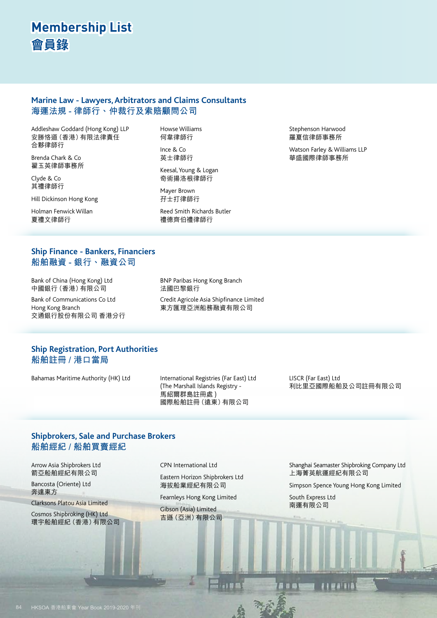### **Marine Law - Lawyers, Arbitrators and Claims Consultants 海運法規 - 律師行、仲裁行及索賠顧問公司**

Addleshaw Goddard (Hong Kong) LLP 安勝恪道(香港)有限法律責任 合夥律師行

Brenda Chark & Co 翟玉英律師事務所

Clyde & Co 其禮律師行

Hill Dickinson Hong Kong

Holman Fenwick Willan 夏禮文律師行

Howse Williams 何韋律師行

Ince & Co 英士律師行

Keesal, Young & Logan 奇術揚洛根律師行

Mayer Brown 孖士打律師行

Reed Smith Richards Butler 禮德齊伯禮律師行

Stephenson Harwood 羅夏信律師事務所

Watson Farley & Williams LLP 華盛國際律師事務所

### **Ship Finance - Bankers, Financiers 船舶融資 - 銀行、融資公司**

Bank of China (Hong Kong) Ltd 中國銀行(香港)有限公司

Bank of Communications Co Ltd Hong Kong Branch 交通銀行股份有限公司 香港分行 BNP Paribas Hong Kong Branch 法國巴黎銀行

Credit Agricole Asia Shipfinance Limited 東方匯理亞洲船務融資有限公司

### **Ship Registration, Port Authorities 船舶註冊 / 港口當局**

Bahamas Maritime Authority (HK) Ltd International Registries (Far East) Ltd

(The Marshall Islands Registry - 馬紹爾群島註冊處 ) 國際船舶註冊(遠東)有限公司 LISCR (Far East) Ltd 利比里亞國際船舶及公司註冊有限公司

### **Shipbrokers, Sale and Purchase Brokers 船舶經紀 / 船舶買賣經紀**

Arrow Asia Shipbrokers Ltd 箭亞船舶經紀有限公司

Bancosta (Oriente) Ltd 奔達東方

Clarksons Platou Asia Limited

Cosmos Shipbroking (HK) Ltd 環宇船舶經紀(香港)有限公司 CPN International Ltd

Eastern Horizon Shipbrokers Ltd 海拔船業經紀有限公司

Fearnleys Hong Kong Limited

Gibson (Asia) Limited 吉遜(亞洲)有限公司 Shanghai Seamaster Shipbroking Company Ltd 上海菁英航運經紀有限公司

Simpson Spence Young Hong Kong Limited

South Express Ltd 南運有限公司